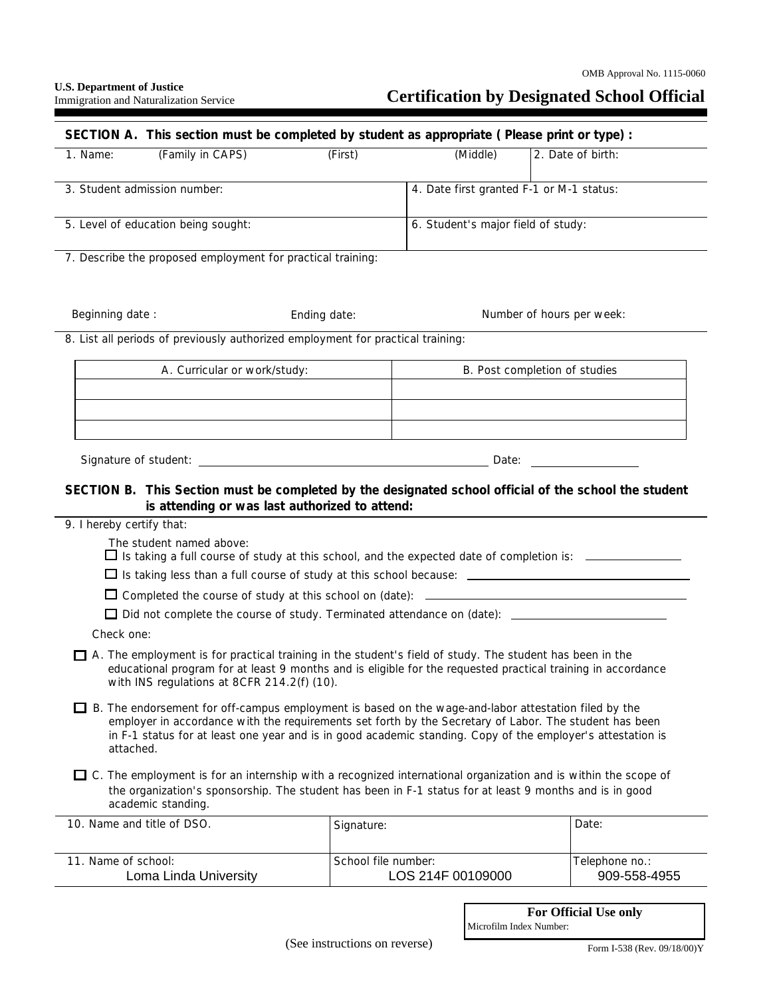## **Certification by Designated School Official**

| SECTION A. This section must be completed by student as appropriate (Please print or type) :                                                                                                                                                                                                                                                      |                                                |                                    |                                                                                                        |  |
|---------------------------------------------------------------------------------------------------------------------------------------------------------------------------------------------------------------------------------------------------------------------------------------------------------------------------------------------------|------------------------------------------------|------------------------------------|--------------------------------------------------------------------------------------------------------|--|
| (Family in CAPS)<br>1. Name:                                                                                                                                                                                                                                                                                                                      | (First)                                        | (Middle)                           | 2. Date of birth:                                                                                      |  |
| 3. Student admission number:                                                                                                                                                                                                                                                                                                                      |                                                |                                    | 4. Date first granted F-1 or M-1 status:                                                               |  |
| 5. Level of education being sought:                                                                                                                                                                                                                                                                                                               |                                                | 6. Student's major field of study: |                                                                                                        |  |
| 7. Describe the proposed employment for practical training:                                                                                                                                                                                                                                                                                       |                                                |                                    |                                                                                                        |  |
| Beginning date:                                                                                                                                                                                                                                                                                                                                   | Ending date:                                   |                                    | Number of hours per week:                                                                              |  |
| 8. List all periods of previously authorized employment for practical training:                                                                                                                                                                                                                                                                   |                                                |                                    |                                                                                                        |  |
| A. Curricular or work/study:                                                                                                                                                                                                                                                                                                                      |                                                | B. Post completion of studies      |                                                                                                        |  |
|                                                                                                                                                                                                                                                                                                                                                   |                                                |                                    |                                                                                                        |  |
|                                                                                                                                                                                                                                                                                                                                                   |                                                |                                    |                                                                                                        |  |
|                                                                                                                                                                                                                                                                                                                                                   |                                                |                                    |                                                                                                        |  |
| Date: the contract of the contract of the contract of the contract of the contract of the contract of the contract of the contract of the contract of the contract of the contract of the contract of the contract of the cont                                                                                                                    |                                                |                                    |                                                                                                        |  |
| SECTION B. This Section must be completed by the designated school official of the school the student                                                                                                                                                                                                                                             | is attending or was last authorized to attend: |                                    |                                                                                                        |  |
| 9. I hereby certify that:                                                                                                                                                                                                                                                                                                                         |                                                |                                    |                                                                                                        |  |
| The student named above:                                                                                                                                                                                                                                                                                                                          |                                                |                                    | $\Box$ Is taking a full course of study at this school, and the expected date of completion is: $\Box$ |  |
| □ Is taking less than a full course of study at this school because: _______________________________                                                                                                                                                                                                                                              |                                                |                                    |                                                                                                        |  |
|                                                                                                                                                                                                                                                                                                                                                   |                                                |                                    |                                                                                                        |  |
|                                                                                                                                                                                                                                                                                                                                                   |                                                |                                    |                                                                                                        |  |
| Check one:<br>A. The employment is for practical training in the student's field of study. The student has been in the<br>educational program for at least 9 months and is eligible for the requested practical training in accordance<br>with INS regulations at 8CFR 214.2(f) (10).                                                             |                                                |                                    |                                                                                                        |  |
| $\Box$ B. The endorsement for off-campus employment is based on the wage-and-labor attestation filed by the<br>employer in accordance with the requirements set forth by the Secretary of Labor. The student has been<br>in F-1 status for at least one year and is in good academic standing. Copy of the employer's attestation is<br>attached. |                                                |                                    |                                                                                                        |  |
| $\Box$ C. The employment is for an internship with a recognized international organization and is within the scope of<br>the organization's sponsorship. The student has been in F-1 status for at least 9 months and is in good<br>academic standing.                                                                                            |                                                |                                    |                                                                                                        |  |
| 10. Name and title of DSO.                                                                                                                                                                                                                                                                                                                        | Signature:                                     |                                    | Date:                                                                                                  |  |
| 11. Name of school:<br>Loma Linda University                                                                                                                                                                                                                                                                                                      | School file number:                            | LOS 214F 00109000                  | Telephone no.:<br>909-558-4955                                                                         |  |

Form I-538 (Rev. 09/18/00)Y

**For Official Use only**

Microfilm Index Number: